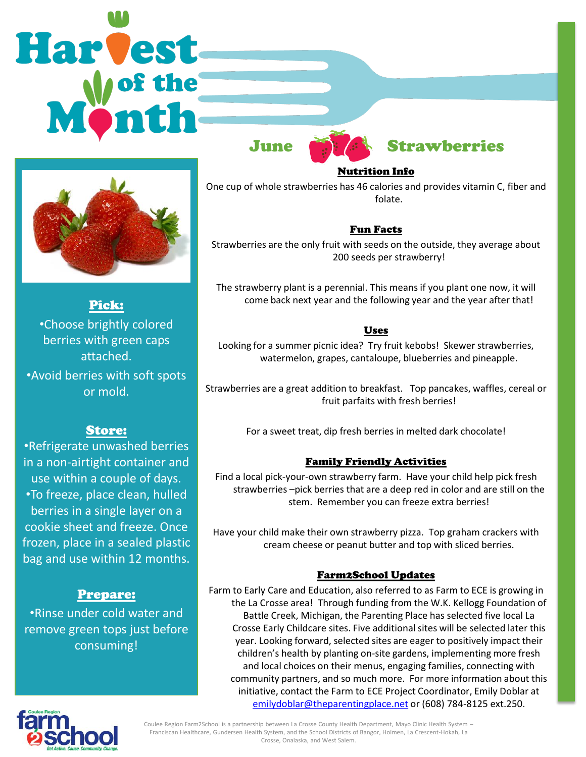# Harvest



Pick: •Choose brightly colored berries with green caps attached.

•Avoid berries with soft spots or mold.

### Store:

•Refrigerate unwashed berries in a non-airtight container and use within a couple of days. •To freeze, place clean, hulled berries in a single layer on a cookie sheet and freeze. Once frozen, place in a sealed plastic bag and use within 12 months.

### Prepare:

•Rinse under cold water and remove green tops just before consuming!



### Nutrition Info

One cup of whole strawberries has 46 calories and provides vitamin C, fiber and folate.

### Fun Facts

Strawberries are the only fruit with seeds on the outside, they average about 200 seeds per strawberry!

The strawberry plant is a perennial. This means if you plant one now, it will come back next year and the following year and the year after that!

### Uses

Looking for a summer picnic idea? Try fruit kebobs! Skewer strawberries, watermelon, grapes, cantaloupe, blueberries and pineapple.

Strawberries are a great addition to breakfast. Top pancakes, waffles, cereal or fruit parfaits with fresh berries!

For a sweet treat, dip fresh berries in melted dark chocolate!

### Family Friendly Activities

Find a local pick-your-own strawberry farm. Have your child help pick fresh strawberries –pick berries that are a deep red in color and are still on the stem. Remember you can freeze extra berries!

Have your child make their own strawberry pizza. Top graham crackers with cream cheese or peanut butter and top with sliced berries.

### Farm2School Updates

Farm to Early Care and Education, also referred to as Farm to ECE is growing in the La Crosse area! Through funding from the W.K. Kellogg Foundation of Battle Creek, Michigan, the Parenting Place has selected five local La Crosse Early Childcare sites. Five additional sites will be selected later this year. Looking forward, selected sites are eager to positively impact their children's health by planting on-site gardens, implementing more fresh and local choices on their menus, engaging families, connecting with community partners, and so much more. For more information about this initiative, contact the Farm to ECE Project Coordinator, Emily Doblar at [emilydoblar@theparentingplace.net](mailto:emilydoblar@theparentingplace.net) or (608) 784-8125 ext.250.



Coulee Region Farm2School is a partnership between La Crosse County Health Department, Mayo Clinic Health System – Franciscan Healthcare, Gundersen Health System, and the School Districts of Bangor, Holmen, La Crescent-Hokah, La Crosse, Onalaska, and West Salem.